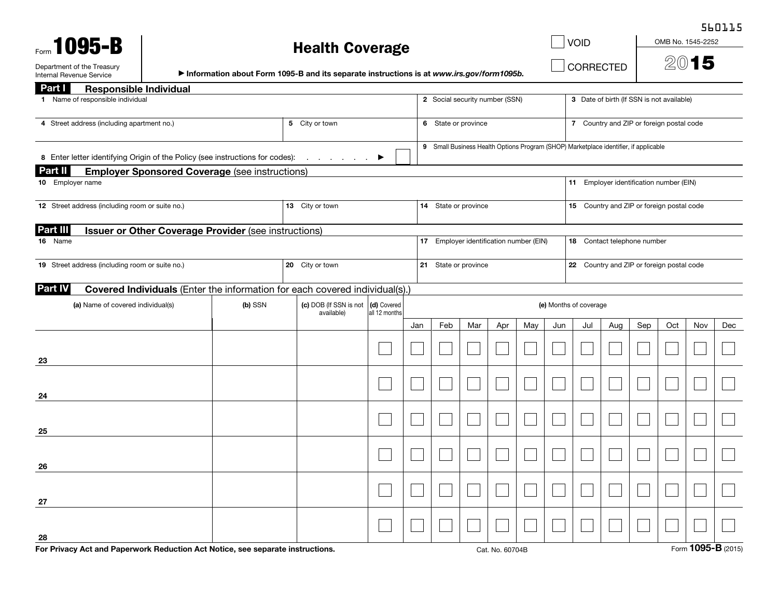### Health Coverage

VOID

**CORRECTED** 

OMB No. 1545-2252

560115

Department of the Treasury Netwith Creasury Netwith Screen in Screen instructions is at *www.irs.gov/form1095b.*<br>Internal Revenue Service Netwith Netwith Screen instructions is at www.irs.gov/form1095b. △○ Internal Revenue Service

| Part I<br><b>Responsible Individual</b>                                                              |                 |                                      |                              |                                |                                         |     |                 |     |                                           |                                                                                      |     |     |     |                    |     |
|------------------------------------------------------------------------------------------------------|-----------------|--------------------------------------|------------------------------|--------------------------------|-----------------------------------------|-----|-----------------|-----|-------------------------------------------|--------------------------------------------------------------------------------------|-----|-----|-----|--------------------|-----|
| 1 Name of responsible individual                                                                     |                 |                                      |                              | 2 Social security number (SSN) |                                         |     |                 |     | 3 Date of birth (If SSN is not available) |                                                                                      |     |     |     |                    |     |
| 4 Street address (including apartment no.)                                                           | 5 City or town  |                                      |                              | 6 State or province            |                                         |     |                 |     | 7 Country and ZIP or foreign postal code  |                                                                                      |     |     |     |                    |     |
| 8 Enter letter identifying Origin of the Policy (see instructions for codes):                        |                 | the contract of the con-             | ▶                            |                                |                                         |     |                 |     |                                           | 9 Small Business Health Options Program (SHOP) Marketplace identifier, if applicable |     |     |     |                    |     |
| <b>Part II</b><br><b>Employer Sponsored Coverage (see instructions)</b><br>10 Employer name          |                 |                                      |                              |                                |                                         |     |                 |     |                                           | 11 Employer identification number (EIN)                                              |     |     |     |                    |     |
|                                                                                                      |                 |                                      |                              |                                |                                         |     |                 |     |                                           |                                                                                      |     |     |     |                    |     |
| 12 Street address (including room or suite no.)                                                      |                 | 13 City or town                      |                              |                                | 14 State or province                    |     |                 |     |                                           | 15 Country and ZIP or foreign postal code                                            |     |     |     |                    |     |
| Part III<br><b>Issuer or Other Coverage Provider (see instructions)</b>                              |                 |                                      |                              |                                |                                         |     |                 |     |                                           |                                                                                      |     |     |     |                    |     |
| 16 Name                                                                                              |                 |                                      |                              |                                | 17 Employer identification number (EIN) |     |                 |     |                                           | 18 Contact telephone number                                                          |     |     |     |                    |     |
| 19 Street address (including room or suite no.)                                                      | 20 City or town |                                      |                              |                                | 21 State or province                    |     |                 |     |                                           | 22 Country and ZIP or foreign postal code                                            |     |     |     |                    |     |
| <b>Part IV</b><br><b>Covered Individuals</b> (Enter the information for each covered individual(s).) |                 |                                      |                              |                                |                                         |     |                 |     |                                           |                                                                                      |     |     |     |                    |     |
| (a) Name of covered individual(s)                                                                    | (b) SSN         | (c) DOB (If SSN is not<br>available) | (d) Covered<br>all 12 months |                                | (e) Months of coverage                  |     |                 |     |                                           |                                                                                      |     |     |     |                    |     |
|                                                                                                      |                 |                                      |                              | Jan                            | Feb                                     | Mar | Apr             | May | Jun                                       | Jul                                                                                  | Aug | Sep | Oct | Nov                | Dec |
|                                                                                                      |                 |                                      |                              |                                |                                         |     |                 |     |                                           |                                                                                      |     |     |     |                    |     |
| 23                                                                                                   |                 |                                      |                              |                                |                                         |     |                 |     |                                           |                                                                                      |     |     |     |                    |     |
| 24                                                                                                   |                 |                                      |                              |                                |                                         |     |                 |     |                                           |                                                                                      |     |     |     |                    |     |
|                                                                                                      |                 |                                      |                              |                                |                                         |     |                 |     |                                           |                                                                                      |     |     |     |                    |     |
| 25                                                                                                   |                 |                                      |                              |                                |                                         |     |                 |     |                                           |                                                                                      |     |     |     |                    |     |
|                                                                                                      |                 |                                      |                              |                                |                                         |     |                 |     |                                           |                                                                                      |     |     |     |                    |     |
| 26                                                                                                   |                 |                                      |                              |                                |                                         |     |                 |     |                                           |                                                                                      |     |     |     |                    |     |
|                                                                                                      |                 |                                      |                              |                                |                                         |     |                 |     |                                           |                                                                                      |     |     |     |                    |     |
| 27                                                                                                   |                 |                                      |                              |                                |                                         |     |                 |     |                                           |                                                                                      |     |     |     |                    |     |
| 28                                                                                                   |                 |                                      |                              |                                |                                         |     |                 |     |                                           |                                                                                      |     |     |     |                    |     |
| For Privacy Act and Paperwork Reduction Act Notice, see separate instructions.                       |                 |                                      |                              |                                |                                         |     | Cat. No. 60704B |     |                                           |                                                                                      |     |     |     | Form 1095-B (2015) |     |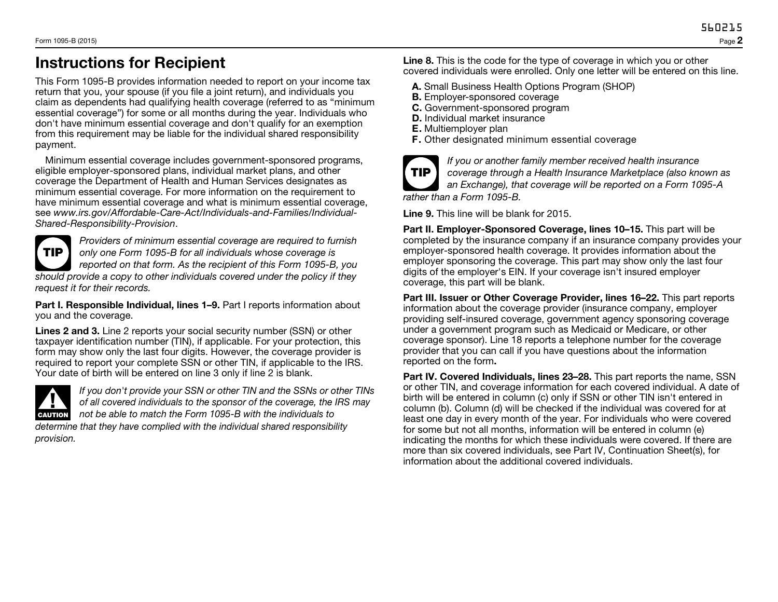## Instructions for Recipient

This Form 1095-B provides information needed to report on your income tax return that you, your spouse (if you file a joint return), and individuals you claim as dependents had qualifying health coverage (referred to as "minimum essential coverage") for some or all months during the year. Individuals who don't have minimum essential coverage and don't qualify for an exemption from this requirement may be liable for the individual shared responsibility payment.

Minimum essential coverage includes government-sponsored programs, eligible employer-sponsored plans, individual market plans, and other coverage the Department of Health and Human Services designates as minimum essential coverage. For more information on the requirement to have minimum essential coverage and what is minimum essential coverage, see *www.irs.gov/Affordable-Care-Act/Individuals-and-Families/Individual-Shared-Responsibility-Provision*.

TIP *Providers of minimum essential coverage are required to furnish only one Form 1095-B for all individuals whose coverage is reported on that form. As the recipient of this Form 1095-B, you should provide a copy to other individuals covered under the policy if they request it for their records.*

Part I. Responsible Individual, lines 1–9. Part I reports information about you and the coverage.

Lines 2 and 3. Line 2 reports your social security number (SSN) or other taxpayer identification number (TIN), if applicable. For your protection, this form may show only the last four digits. However, the coverage provider is required to report your complete SSN or other TIN, if applicable to the IRS. Your date of birth will be entered on line 3 only if line 2 is blank.



*provision.*

If you don't provide your SSN or other TIN and the SSNs or of<br>of all covered individuals to the sponsor of the coverage, the l<br>not be able to match the Form 1095-B with the individuals to *If you don't provide your SSN or other TIN and the SSNs or other TINs of all covered individuals to the sponsor of the coverage, the IRS may determine that they have complied with the individual shared responsibility* 

Line 8. This is the code for the type of coverage in which you or other covered individuals were enrolled. Only one letter will be entered on this line.

- A. Small Business Health Options Program (SHOP)
- B. Employer-sponsored coverage
- C. Government-sponsored program
- D. Individual market insurance
- E. Multiemployer plan
- F. Other designated minimum essential coverage



*If you or another family member received health insurance coverage through a Health Insurance Marketplace (also known as an Exchange), that coverage will be reported on a Form 1095-A rather than a Form 1095-B.*

Line 9. This line will be blank for 2015.

Part II. Employer-Sponsored Coverage, lines 10–15. This part will be completed by the insurance company if an insurance company provides your employer-sponsored health coverage. It provides information about the employer sponsoring the coverage. This part may show only the last four digits of the employer's EIN. If your coverage isn't insured employer coverage, this part will be blank.

Part III. Issuer or Other Coverage Provider, lines 16–22. This part reports information about the coverage provider (insurance company, employer providing self-insured coverage, government agency sponsoring coverage under a government program such as Medicaid or Medicare, or other coverage sponsor). Line 18 reports a telephone number for the coverage provider that you can call if you have questions about the information reported on the form.

Part IV. Covered Individuals, lines 23-28. This part reports the name, SSN or other TIN, and coverage information for each covered individual. A date of birth will be entered in column (c) only if SSN or other TIN isn't entered in column (b). Column (d) will be checked if the individual was covered for at least one day in every month of the year. For individuals who were covered for some but not all months, information will be entered in column (e) indicating the months for which these individuals were covered. If there are more than six covered individuals, see Part IV, Continuation Sheet(s), for information about the additional covered individuals.